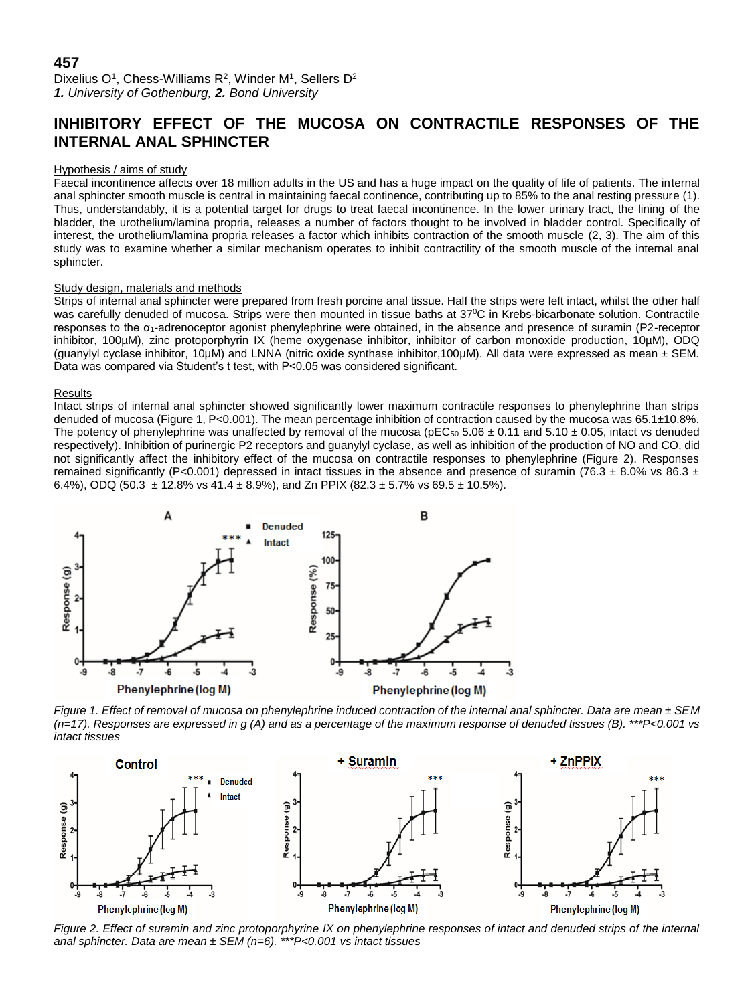## **457**

Dixelius O<sup>1</sup>, Chess-Williams R<sup>2</sup>, Winder M<sup>1</sup>, Sellers D<sup>2</sup> *1. University of Gothenburg, 2. Bond University*

# **INHIBITORY EFFECT OF THE MUCOSA ON CONTRACTILE RESPONSES OF THE INTERNAL ANAL SPHINCTER**

#### Hypothesis / aims of study

Faecal incontinence affects over 18 million adults in the US and has a huge impact on the quality of life of patients. The internal anal sphincter smooth muscle is central in maintaining faecal continence, contributing up to 85% to the anal resting pressure (1). Thus, understandably, it is a potential target for drugs to treat faecal incontinence. In the lower urinary tract, the lining of the bladder, the urothelium/lamina propria, releases a number of factors thought to be involved in bladder control. Specifically of interest, the urothelium/lamina propria releases a factor which inhibits contraction of the smooth muscle (2, 3). The aim of this study was to examine whether a similar mechanism operates to inhibit contractility of the smooth muscle of the internal anal sphincter.

#### Study design, materials and methods

Strips of internal anal sphincter were prepared from fresh porcine anal tissue. Half the strips were left intact, whilst the other half was carefully denuded of mucosa. Strips were then mounted in tissue baths at 37<sup>o</sup>C in Krebs-bicarbonate solution. Contractile responses to the α1-adrenoceptor agonist phenylephrine were obtained, in the absence and presence of suramin (P2-receptor inhibitor, 100µM), zinc protoporphyrin IX (heme oxygenase inhibitor, inhibitor of carbon monoxide production, 10µM), ODQ (guanylyl cyclase inhibitor, 10µM) and LNNA (nitric oxide synthase inhibitor,100µM). All data were expressed as mean ± SEM. Data was compared via Student's t test, with P<0.05 was considered significant.

#### **Results**

Intact strips of internal anal sphincter showed significantly lower maximum contractile responses to phenylephrine than strips denuded of mucosa (Figure 1, P<0.001). The mean percentage inhibition of contraction caused by the mucosa was 65.1±10.8%. The potency of phenylephrine was unaffected by removal of the mucosa ( $pEC_{50}$  5.06  $\pm$  0.11 and 5.10  $\pm$  0.05, intact vs denuded respectively). Inhibition of purinergic P2 receptors and guanylyl cyclase, as well as inhibition of the production of NO and CO, did not significantly affect the inhibitory effect of the mucosa on contractile responses to phenylephrine (Figure 2). Responses remained significantly (P<0.001) depressed in intact tissues in the absence and presence of suramin (76.3  $\pm$  8.0% vs 86.3  $\pm$ 6.4%), ODQ (50.3  $\pm$  12.8% vs 41.4  $\pm$  8.9%), and Zn PPIX (82.3  $\pm$  5.7% vs 69.5  $\pm$  10.5%).



*Figure 1. Effect of removal of mucosa on phenylephrine induced contraction of the internal anal sphincter. Data are mean ± SEM (n=17). Responses are expressed in g (A) and as a percentage of the maximum response of denuded tissues (B). \*\*\*P<0.001 vs intact tissues*



*Figure 2. Effect of suramin and zinc protoporphyrine IX on phenylephrine responses of intact and denuded strips of the internal anal sphincter. Data are mean ± SEM (n=6). \*\*\*P<0.001 vs intact tissues*